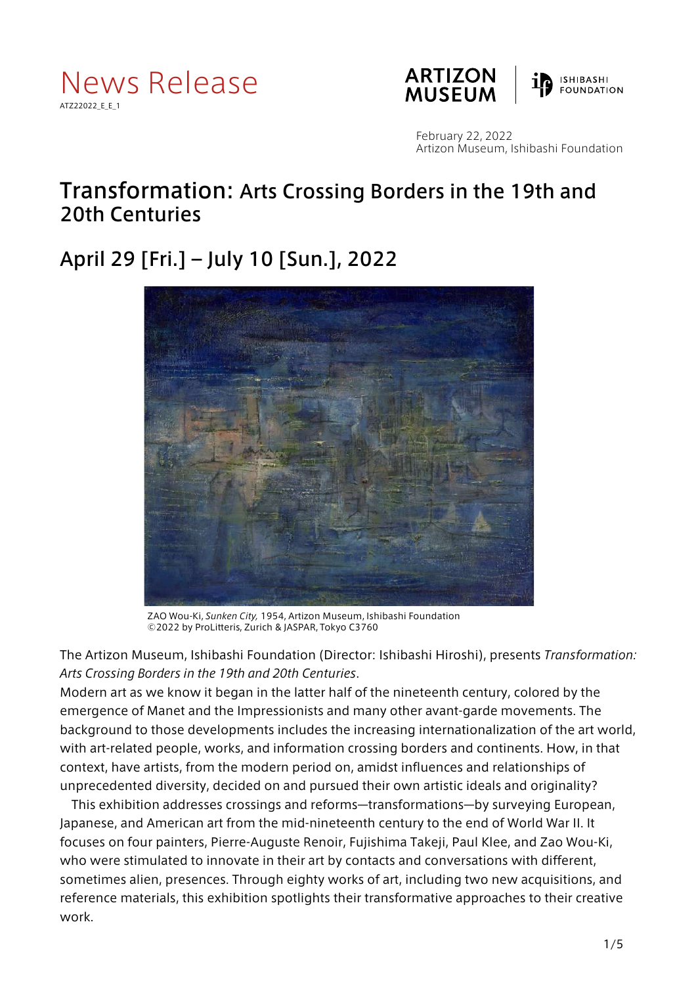





February 22, 2022 Artizon Museum, Ishibashi Foundation

## Transformation: Arts Crossing Borders in the 19th and 20th Centuries

# April 29 [Fri.] – July 10 [Sun.], 2022



ZAO Wou-Ki, *Sunken City,* 1954, Artizon Museum, Ishibashi Foundation ©2022 by ProLitteris, Zurich & JASPAR, Tokyo C3760

The Artizon Museum, Ishibashi Foundation (Director: Ishibashi Hiroshi), presents *Transformation: Arts Crossing Borders in the 19th and 20th Centuries*.

Modern art as we know it began in the latter half of the nineteenth century, colored by the emergence of Manet and the Impressionists and many other avant-garde movements. The background to those developments includes the increasing internationalization of the art world, with art-related people, works, and information crossing borders and continents. How, in that context, have artists, from the modern period on, amidst influences and relationships of unprecedented diversity, decided on and pursued their own artistic ideals and originality?

This exhibition addresses crossings and reforms—transformations—by surveying European, Japanese, and American art from the mid-nineteenth century to the end of World War II. It focuses on four painters, Pierre-Auguste Renoir, Fujishima Takeji, Paul Klee, and Zao Wou-Ki, who were stimulated to innovate in their art by contacts and conversations with different, sometimes alien, presences. Through eighty works of art, including two new acquisitions, and reference materials, this exhibition spotlights their transformative approaches to their creative work.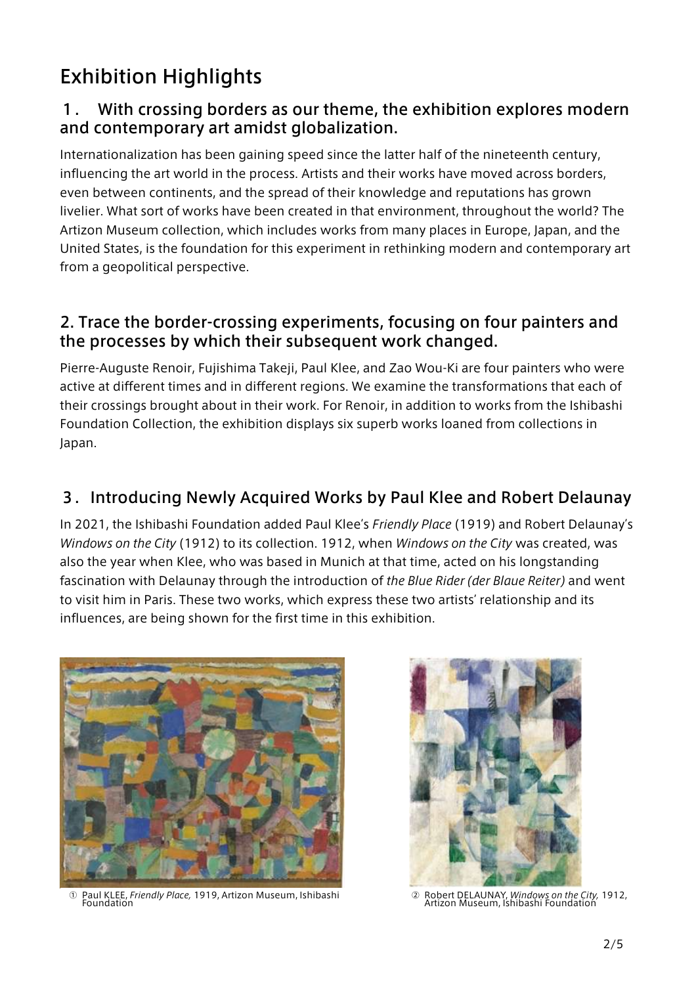# Exhibition Highlights

### 1. With crossing borders as our theme, the exhibition explores modern and contemporary art amidst globalization.

Internationalization has been gaining speed since the latter half of the nineteenth century, influencing the art world in the process. Artists and their works have moved across borders, even between continents, and the spread of their knowledge and reputations has grown livelier. What sort of works have been created in that environment, throughout the world? The Artizon Museum collection, which includes works from many places in Europe, Japan, and the United States, is the foundation for this experiment in rethinking modern and contemporary art from a geopolitical perspective.

### 2. Trace the border-crossing experiments, focusing on four painters and the processes by which their subsequent work changed.

Pierre-Auguste Renoir, Fujishima Takeji, Paul Klee, and Zao Wou-Ki are four painters who were active at different times and in different regions. We examine the transformations that each of their crossings brought about in their work. For Renoir, in addition to works from the Ishibashi Foundation Collection, the exhibition displays six superb works loaned from collections in Japan.

### 3.Introducing Newly Acquired Works by Paul Klee and Robert Delaunay

In 2021, the Ishibashi Foundation added Paul Klee's *Friendly Place* (1919) and Robert Delaunay's *Windows on the City* (1912) to its collection. 1912, when *Windows on the City* was created, was also the year when Klee, who was based in Munich at that time, acted on his longstanding fascination with Delaunay through the introduction of *the Blue Rider (der Blaue Reiter)* and went to visit him in Paris. These two works, which express these two artists' relationship and its influences, are being shown for the first time in this exhibition.



Paul KLEE, *Friendly Place*, 1919, Artizon Museum, Ishibashi<br>Foundation



<sup>②</sup> Robert DELAUNAY, *Windows on the City,* 1912, Artizon Museum, Ishibashi Foundation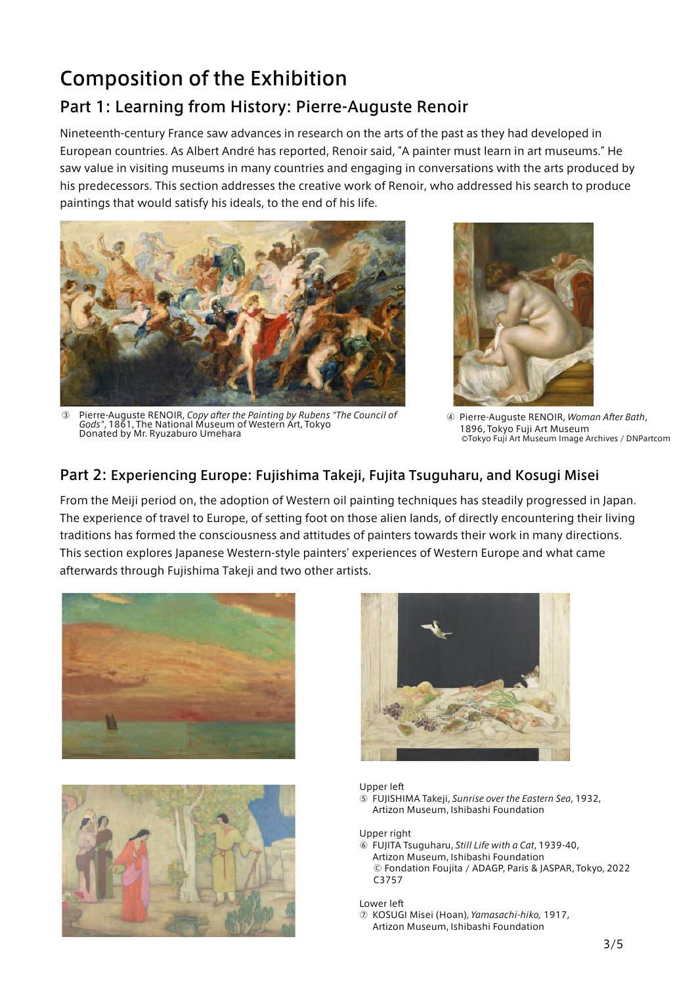# Composition of the Exhibition Part 1: Learning from History: Pierre-Auguste Renoir

Nineteenth-century France saw advances in research on the arts of the past as they had developed in European countries. As Albert André has reported, Renoir said, "A painter must learn in art museums." He saw value in visiting museums in many countries and engaging in conversations with the arts produced by his predecessors. This section addresses the creative work of Renoir, who addressed his search to produce paintings that would satisfy his ideals, to the end of his life.



③ Pierre-Auguste RENOIR, *Copy after the Painting by Rubens "The Council of Gods"*, 1861, The National Museum of Western Art, Tokyo Donated by Mr. Ryuzaburo Umehara



④ Pierre-Auguste RENOIR, *Woman After Bath*, 1896, Tokyo Fuji Art Museum ⒸTokyo Fuji Art Museum Image Archives / DNPartcom

### Part 2: Experiencing Europe: Fujishima Takeji, Fujita Tsuguharu, and Kosugi Misei

From the Meiji period on, the adoption of Western oil painting techniques has steadily progressed in Japan. The experience of travel to Europe, of setting foot on those alien lands, of directly encountering their living traditions has formed the consciousness and attitudes of painters towards their work in many directions. This section explores Japanese Western-style painters' experiences of Western Europe and what came afterwards through Fujishima Takeji and two other artists.







#### Upper left

⑤ FUJISHIMA Takeji, *Sunrise over the Eastern Sea*, 1932, Artizon Museum, Ishibashi Foundation

Upper right

⑥ FUJITA Tsuguharu, *Still Life with a Cat*, 1939-40, Artizon Museum, Ishibashi Foundation © Fondation Foujita / ADAGP, Paris & JASPAR, Tokyo, 2022 C3757

Lower left

⑦ KOSUGI Misei (Hoan)*, Yamasachi-hiko,* 1917, Artizon Museum, Ishibashi Foundation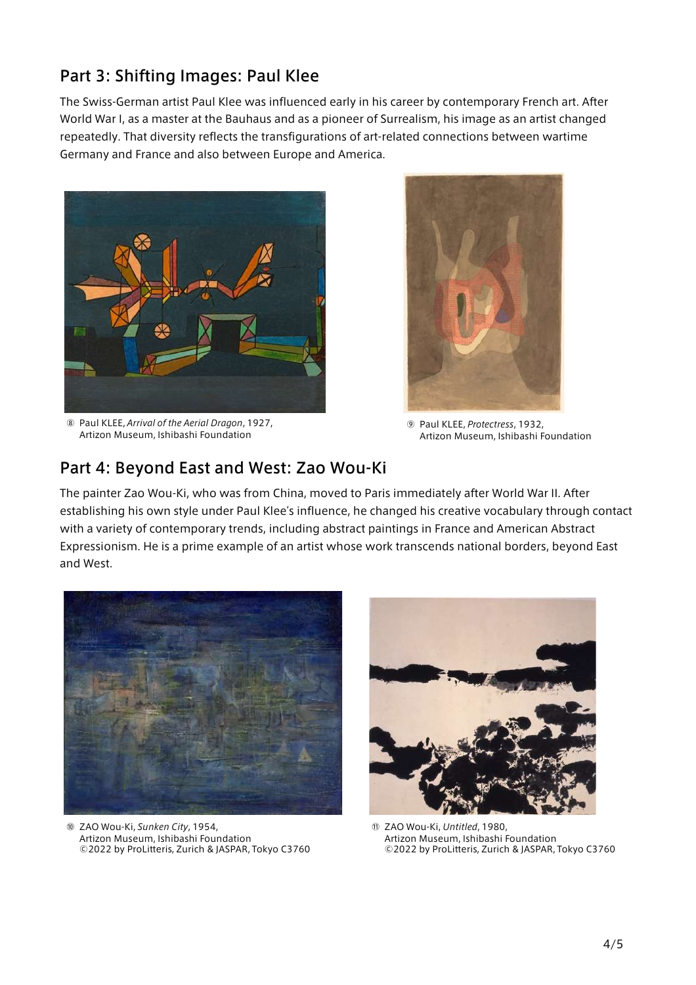### Part 3: Shifting Images: Paul Klee

The Swiss-German artist Paul Klee was influenced early in his career by contemporary French art. After World War I, as a master at the Bauhaus and as a pioneer of Surrealism, his image as an artist changed repeatedly. That diversity reflects the transfigurations of art-related connections between wartime Germany and France and also between Europe and America.



⑧ Paul KLEE, *Arrival of the Aerial Dragon*, 1927, Artizon Museum, Ishibashi Foundation



⑨ Paul KLEE, *Protectress*, 1932, Artizon Museum, Ishibashi Foundation

### Part 4: Beyond East and West: Zao Wou-Ki

The painter Zao Wou-Ki, who was from China, moved to Paris immediately after World War II. After establishing his own style under Paul Klee's influence, he changed his creative vocabulary through contact with a variety of contemporary trends, including abstract paintings in France and American Abstract Expressionism. He is a prime example of an artist whose work transcends national borders, beyond East and West.



⑩ ZAO Wou-Ki, *Sunken City*, 1954, Artizon Museum, Ishibashi Foundation ©2022 by ProLitteris, Zurich & JASPAR, Tokyo C3760



⑪ ZAO Wou-Ki, *Untitled*, 1980, Artizon Museum, Ishibashi Foundation ©2022 by ProLitteris, Zurich & JASPAR, Tokyo C3760